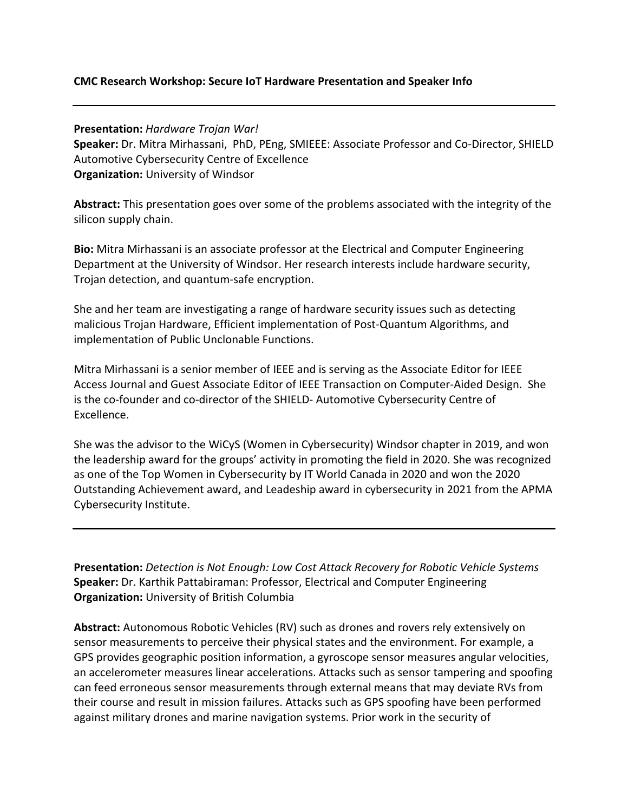## **CMC Research Workshop: Secure IoT Hardware Presentation and Speaker Info**

**Presentation:** *Hardware Trojan War!* **Speaker:** Dr. Mitra Mirhassani, PhD, PEng, SMIEEE: Associate Professor and Co-Director, SHIELD Automotive Cybersecurity Centre of Excellence **Organization:** University of Windsor

**Abstract:** This presentation goes over some of the problems associated with the integrity of the silicon supply chain.

**Bio:** Mitra Mirhassani is an associate professor at the Electrical and Computer Engineering Department at the University of Windsor. Her research interests include hardware security, Trojan detection, and quantum-safe encryption.

She and her team are investigating a range of hardware security issues such as detecting malicious Trojan Hardware, Efficient implementation of Post-Quantum Algorithms, and implementation of Public Unclonable Functions.

Mitra Mirhassani is a senior member of IEEE and is serving as the Associate Editor for IEEE Access Journal and Guest Associate Editor of IEEE Transaction on Computer-Aided Design. She is the co-founder and co-director of the SHIELD- Automotive Cybersecurity Centre of Excellence.

She was the advisor to the WiCyS (Women in Cybersecurity) Windsor chapter in 2019, and won the leadership award for the groups' activity in promoting the field in 2020. She was recognized as one of the Top Women in Cybersecurity by IT World Canada in 2020 and won the 2020 Outstanding Achievement award, and Leadeship award in cybersecurity in 2021 from the APMA Cybersecurity Institute.

**Presentation:** *Detection is Not Enough: Low Cost Attack Recovery for Robotic Vehicle Systems* **Speaker:** Dr. Karthik Pattabiraman: Professor, Electrical and Computer Engineering **Organization:** University of British Columbia

**Abstract:** Autonomous Robotic Vehicles (RV) such as drones and rovers rely extensively on sensor measurements to perceive their physical states and the environment. For example, a GPS provides geographic position information, a gyroscope sensor measures angular velocities, an accelerometer measures linear accelerations. Attacks such as sensor tampering and spoofing can feed erroneous sensor measurements through external means that may deviate RVs from their course and result in mission failures. Attacks such as GPS spoofing have been performed against military drones and marine navigation systems. Prior work in the security of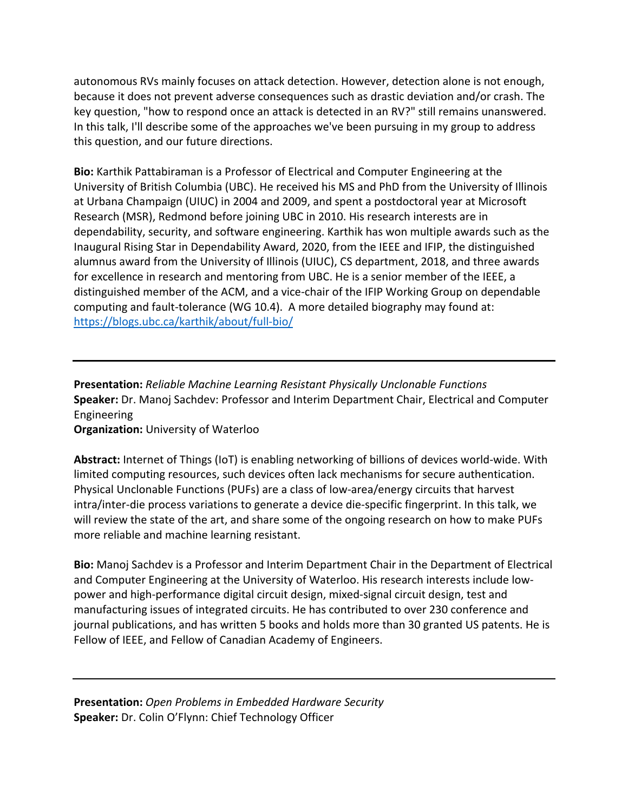autonomous RVs mainly focuses on attack detection. However, detection alone is not enough, because it does not prevent adverse consequences such as drastic deviation and/or crash. The key question, "how to respond once an attack is detected in an RV?" still remains unanswered. In this talk, I'll describe some of the approaches we've been pursuing in my group to address this question, and our future directions.

**Bio:** Karthik Pattabiraman is a Professor of Electrical and Computer Engineering at the University of British Columbia (UBC). He received his MS and PhD from the University of Illinois at Urbana Champaign (UIUC) in 2004 and 2009, and spent a postdoctoral year at Microsoft Research (MSR), Redmond before joining UBC in 2010. His research interests are in dependability, security, and software engineering. Karthik has won multiple awards such as the Inaugural Rising Star in Dependability Award, 2020, from the IEEE and IFIP, the distinguished alumnus award from the University of Illinois (UIUC), CS department, 2018, and three awards for excellence in research and mentoring from UBC. He is a senior member of the IEEE, a distinguished member of the ACM, and a vice-chair of the IFIP Working Group on dependable computing and fault-tolerance (WG 10.4). A more detailed biography may found at: <https://blogs.ubc.ca/karthik/about/full-bio/>

**Presentation:** *Reliable Machine Learning Resistant Physically Unclonable Functions* **Speaker:** Dr. Manoj Sachdev: Professor and Interim Department Chair, Electrical and Computer Engineering

**Organization:** University of Waterloo

**Abstract:** Internet of Things (IoT) is enabling networking of billions of devices world-wide. With limited computing resources, such devices often lack mechanisms for secure authentication. Physical Unclonable Functions (PUFs) are a class of low-area/energy circuits that harvest intra/inter-die process variations to generate a device die-specific fingerprint. In this talk, we will review the state of the art, and share some of the ongoing research on how to make PUFs more reliable and machine learning resistant.

**Bio:** Manoj Sachdev is a Professor and Interim Department Chair in the Department of Electrical and Computer Engineering at the University of Waterloo. His research interests include lowpower and high-performance digital circuit design, mixed-signal circuit design, test and manufacturing issues of integrated circuits. He has contributed to over 230 conference and journal publications, and has written 5 books and holds more than 30 granted US patents. He is Fellow of IEEE, and Fellow of Canadian Academy of Engineers.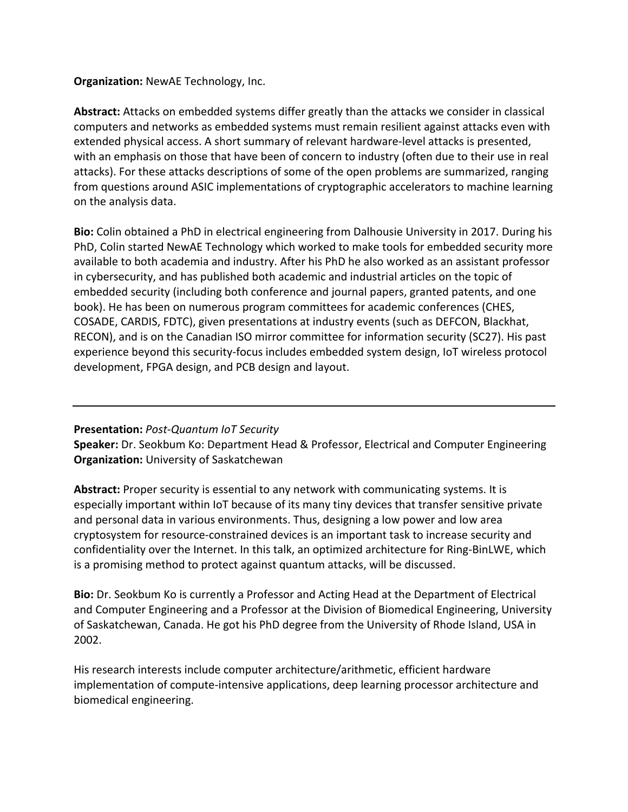## **Organization:** NewAE Technology, Inc.

**Abstract:** Attacks on embedded systems differ greatly than the attacks we consider in classical computers and networks as embedded systems must remain resilient against attacks even with extended physical access. A short summary of relevant hardware-level attacks is presented, with an emphasis on those that have been of concern to industry (often due to their use in real attacks). For these attacks descriptions of some of the open problems are summarized, ranging from questions around ASIC implementations of cryptographic accelerators to machine learning on the analysis data.

**Bio:** Colin obtained a PhD in electrical engineering from Dalhousie University in 2017. During his PhD, Colin started NewAE Technology which worked to make tools for embedded security more available to both academia and industry. After his PhD he also worked as an assistant professor in cybersecurity, and has published both academic and industrial articles on the topic of embedded security (including both conference and journal papers, granted patents, and one book). He has been on numerous program committees for academic conferences (CHES, COSADE, CARDIS, FDTC), given presentations at industry events (such as DEFCON, Blackhat, RECON), and is on the Canadian ISO mirror committee for information security (SC27). His past experience beyond this security-focus includes embedded system design, IoT wireless protocol development, FPGA design, and PCB design and layout.

## **Presentation:** *Post-Quantum IoT Security*

**Speaker:** Dr. Seokbum Ko: Department Head & Professor, Electrical and Computer Engineering **Organization:** University of Saskatchewan

**Abstract:** Proper security is essential to any network with communicating systems. It is especially important within IoT because of its many tiny devices that transfer sensitive private and personal data in various environments. Thus, designing a low power and low area cryptosystem for resource-constrained devices is an important task to increase security and confidentiality over the Internet. In this talk, an optimized architecture for Ring-BinLWE, which is a promising method to protect against quantum attacks, will be discussed.

**Bio:** Dr. Seokbum Ko is currently a Professor and Acting Head at the Department of Electrical and Computer Engineering and a Professor at the Division of Biomedical Engineering, University of Saskatchewan, Canada. He got his PhD degree from the University of Rhode Island, USA in 2002.

His research interests include computer architecture/arithmetic, efficient hardware implementation of compute-intensive applications, deep learning processor architecture and biomedical engineering.